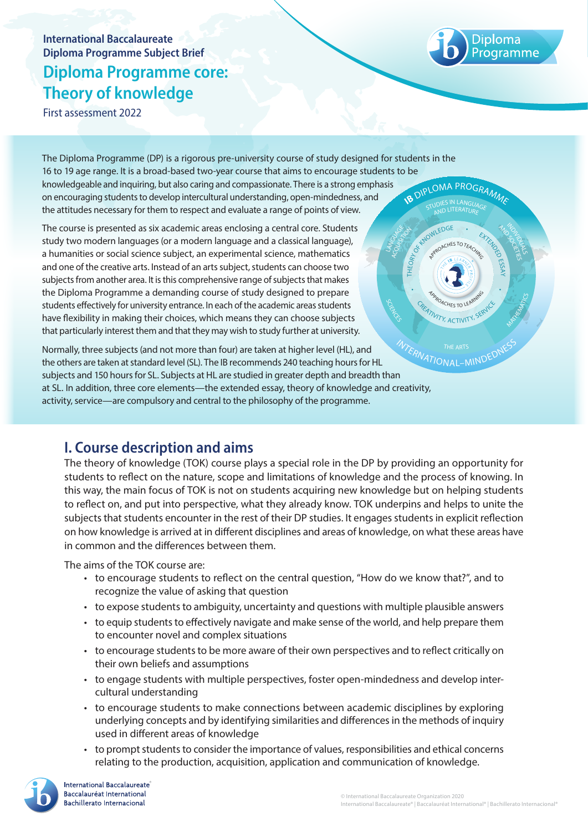# **International Baccalaureate Diploma Programme Subject Brief Diploma Programme core: Theory of knowledge**

First assessment 2022

The Diploma Programme (DP) is a rigorous pre-university course of study designed for students in the 16 to 19 age range. It is a broad-based two-year course that aims to encourage students to be knowledgeable and inquiring, but also caring and compassionate. There is a strong emphasis on encouraging students to develop intercultural understanding, open-mindedness, and the attitudes necessary for them to respect and evaluate a range of points of view. **IB DIPLOMA PROGRAMME** 

The course is presented as six academic areas enclosing a central core. Students study two modern languages (or a modern language and a classical language), a humanities or social science subject, an experimental science, mathematics and one of the creative arts. Instead of an arts subject, students can choose two subjects from another area. It is this comprehensive range of subjects that makes the Diploma Programme a demanding course of study designed to prepare students effectively for university entrance. In each of the academic areas students have flexibility in making their choices, which means they can choose subjects that particularly interest them and that they may wish to study further at university.

Normally, three subjects (and not more than four) are taken at higher level (HL), and the others are taken at standard level (SL). The IB recommends 240 teaching hours for HL subjects and 150 hours for SL. Subjects at HL are studied in greater depth and breadth than at SL. In addition, three core elements—the extended essay, theory of knowledge and creativity, activity, service—are compulsory and central to the philosophy of the programme. **INTERNATIONAL-MINDEDNESS** 

## **I. Course description and aims**

The theory of knowledge (TOK) course plays a special role in the DP by providing an opportunity for students to reflect on the nature, scope and limitations of knowledge and the process of knowing. In this way, the main focus of TOK is not on students acquiring new knowledge but on helping students to reflect on, and put into perspective, what they already know. TOK underpins and helps to unite the subjects that students encounter in the rest of their DP studies. It engages students in explicit reflection on how knowledge is arrived at in different disciplines and areas of knowledge, on what these areas have in common and the differences between them.

The aims of the TOK course are:

- to encourage students to reflect on the central question, "How do we know that?", and to recognize the value of asking that question
- to expose students to ambiguity, uncertainty and questions with multiple plausible answers
- to equip students to effectively navigate and make sense of the world, and help prepare them to encounter novel and complex situations
- to encourage students to be more aware of their own perspectives and to reflect critically on their own beliefs and assumptions
- to engage students with multiple perspectives, foster open-mindedness and develop intercultural understanding
- to encourage students to make connections between academic disciplines by exploring underlying concepts and by identifying similarities and differences in the methods of inquiry used in different areas of knowledge
- to prompt students to consider the importance of values, responsibilities and ethical concerns relating to the production, acquisition, application and communication of knowledge.



MATHEMATICS

INDIVIDUALS

**AND ACTS** 

THEORY AND THE CHANGE OF BROWLEDGE

**APPROACHES TO LEARNING** 

 $CHES TO Tc$ 

WTY, ACTIVIT

SCIENCES

ACOURSIG LANGUAGE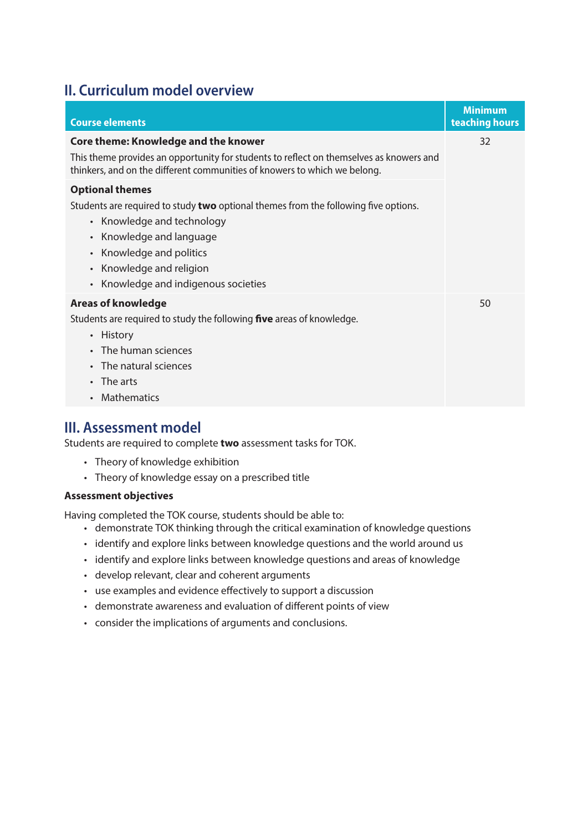# **II. Curriculum model overview**

| <b>Course elements</b>                                                                                                                                                                                                                                                                                                               | <b>Minimum</b><br>teaching hours |
|--------------------------------------------------------------------------------------------------------------------------------------------------------------------------------------------------------------------------------------------------------------------------------------------------------------------------------------|----------------------------------|
| <b>Core theme: Knowledge and the knower</b><br>This theme provides an opportunity for students to reflect on themselves as knowers and<br>thinkers, and on the different communities of knowers to which we belong.<br><b>Optional themes</b><br>Students are required to study two optional themes from the following five options. | 32                               |
| Knowledge and technology<br>$\bullet$<br>Knowledge and language<br>$\bullet$<br>Knowledge and politics<br>Knowledge and religion<br>$\bullet$<br>Knowledge and indigenous societies<br>$\bullet$                                                                                                                                     |                                  |
| <b>Areas of knowledge</b><br>Students are required to study the following <b>five</b> areas of knowledge.<br>History<br>$\bullet$<br>The human sciences<br>The natural sciences<br>The arts<br><b>Mathematics</b>                                                                                                                    | 50                               |

## **III. Assessment model**

Students are required to complete **two** assessment tasks for TOK.

- Theory of knowledge exhibition
- Theory of knowledge essay on a prescribed title

### **Assessment objectives**

Having completed the TOK course, students should be able to:

- demonstrate TOK thinking through the critical examination of knowledge questions
- identify and explore links between knowledge questions and the world around us
- identify and explore links between knowledge questions and areas of knowledge
- develop relevant, clear and coherent arguments
- use examples and evidence effectively to support a discussion
- demonstrate awareness and evaluation of different points of view
- consider the implications of arguments and conclusions.